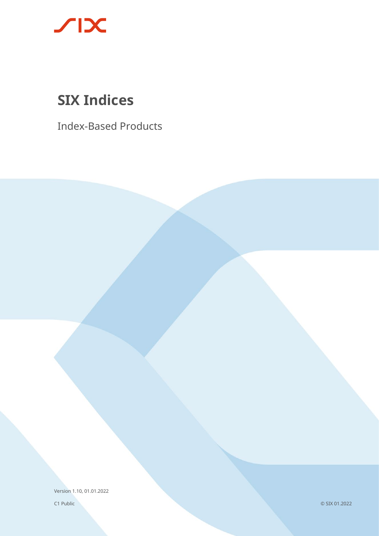

# **SIX Indices**

Index-Based Products

Version 1.10, 01.01.2022

C1 Public

© SIX 01.2022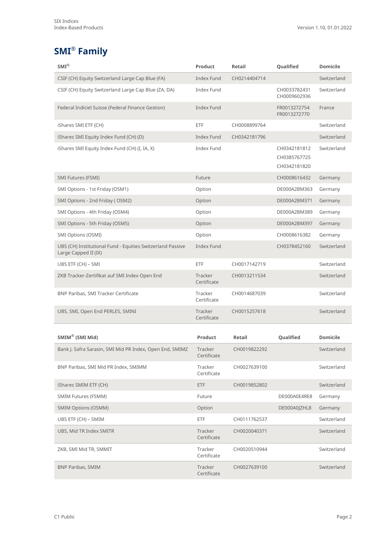## **SMI® Family**

| $SMI^{\circledR}$                                                                  | Product                | Retail       | Qualified                                    | <b>Domicile</b> |
|------------------------------------------------------------------------------------|------------------------|--------------|----------------------------------------------|-----------------|
| CSIF (CH) Equity Switzerland Large Cap Blue (FA)                                   | <b>Index Fund</b>      | CH0214404714 |                                              | Switzerland     |
| CSIF (CH) Equity Switzerland Large Cap Blue (ZA, DA)                               | <b>Index Fund</b>      |              | CH0033782431<br>CH0009602936                 | Switzerland     |
| Federal Indiciel Suisse (Federal Finance Gestion)                                  | <b>Index Fund</b>      |              | FR0013272754<br>FR0013272770                 | France          |
| iShares SMI ETF (CH)                                                               | ETF                    | CH0008899764 |                                              | Switzerland     |
| iShares SMI Equity Index Fund (CH) (D)                                             | <b>Index Fund</b>      | CH0342181796 |                                              | Switzerland     |
| iShares SMI Equity Index Fund (CH) (I, IA, X)                                      | <b>Index Fund</b>      |              | CH0342181812<br>CH0385767725<br>CH0342181820 | Switzerland     |
| SMI Futures (FSMI)                                                                 | Future                 |              | CH0008616432                                 | Germany         |
| SMI Options - 1st Friday (OSM1)                                                    | Option                 |              | DE000A2BM363                                 | Germany         |
| SMI Options - 2nd Friday (OSM2)                                                    | Option                 |              | DE000A2BM371                                 | Germany         |
| SMI Options - 4th Friday (OSM4)                                                    | Option                 |              | DE000A2BM389                                 | Germany         |
| SMI Options - 5th Friday (OSM5)                                                    | Option                 |              | DE000A2BM397                                 | Germany         |
| SMI Options (OSMI)                                                                 | Option                 |              | CH0008616382                                 | Germany         |
| UBS (CH) Institutional Fund - Equities Switzerland Passive<br>Large Capped II (IX) | <b>Index Fund</b>      |              | CH0378452160                                 | Switzerland     |
| UBS ETF (CH) - SMI                                                                 | ETF                    | CH0017142719 |                                              | Switzerland     |
| ZKB Tracker-Zertifikat auf SMI Index Open End                                      | Tracker<br>Certificate | CH0013211534 |                                              | Switzerland     |
| BNP Paribas, SMI Tracker Certificate                                               | Tracker<br>Certificate | CH0014687039 |                                              | Switzerland     |
| UBS, SMI, Open End PERLES, SMINI                                                   | Tracker<br>Certificate | CH0015257618 |                                              | Switzerland     |
| SMIM® (SMI Mid)                                                                    | Product                | Retail       | Qualified                                    | <b>Domicile</b> |
|                                                                                    | Tracker                |              |                                              |                 |
| Bank J. Safra Sarasin, SMI Mid PR Index, Open End, SMIMZ                           | Certificate            | CH0019822292 |                                              | Switzerland     |
| BNP Paribas, SMI Mid PR Index, SMIMM                                               | Tracker<br>Certificate | CH0027639100 |                                              | Switzerland     |
| iShares SMIM ETF (CH)                                                              | ETF                    | CH0019852802 |                                              | Switzerland     |
| SMIM Futures (FSMM)                                                                | Future                 |              | DE000A0E4RE8                                 | Germany         |
| <b>SMIM Options (OSMM)</b>                                                         | Option                 |              | DE000A0JZHL8                                 | Germany         |
| UBS ETF (CH) – SMIM                                                                | <b>ETF</b>             | CH0111762537 |                                              | Switzerland     |
| UBS, Mid TR Index SMITR                                                            | Tracker<br>Certificate | CH0020040371 |                                              | Switzerland     |
| ZKB, SMI Mid TR, SMMIT                                                             | Tracker<br>Certificate | CH0020510944 |                                              | Switzerland     |
| <b>BNP Paribas, SMIM</b>                                                           | Tracker<br>Certificate | CH0027639100 |                                              | Switzerland     |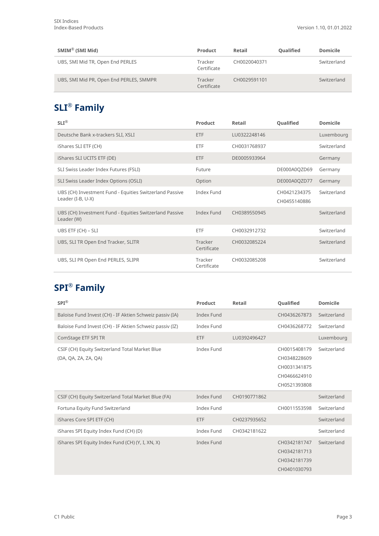| $SMIM^{\circledR}$ (SMI Mid)            | Product                | Retail       | Qualified | <b>Domicile</b> |
|-----------------------------------------|------------------------|--------------|-----------|-----------------|
| UBS, SMI Mid TR, Open End PERLES        | Tracker<br>Certificate | CH0020040371 |           | Switzerland     |
| UBS, SMI Mid PR, Open End PERLES, SMMPR | Tracker<br>Certificate | CH0029591101 |           | Switzerland     |

## **SLI® Family**

| $SLI^{\circledR}$                                                            | Product                | Retail       | Qualified                    | <b>Domicile</b> |
|------------------------------------------------------------------------------|------------------------|--------------|------------------------------|-----------------|
| Deutsche Bank x-trackers SLI, XSLI                                           | <b>ETF</b>             | LU0322248146 |                              | Luxembourg      |
| iShares SLI ETF (CH)                                                         | <b>ETF</b>             | CH0031768937 |                              | Switzerland     |
| iShares SLI UCITS ETF (DE)                                                   | <b>ETF</b>             | DE0005933964 |                              | Germany         |
| SLI Swiss Leader Index Futures (FSLI)                                        | Future                 |              | DE000A0QZD69                 | Germany         |
| SLI Swiss Leader Index Options (OSLI)                                        | Option                 |              | DE000A0QZD77                 | Germany         |
| UBS (CH) Investment Fund - Equities Switzerland Passive<br>Leader (I-B, U-X) | Index Fund             |              | CH0421234375<br>CH0455140886 | Switzerland     |
| UBS (CH) Investment Fund - Equities Switzerland Passive<br>Leader (W)        | Index Fund             | CH0389550945 |                              | Switzerland     |
| UBS ETF (CH) - SLI                                                           | ETF                    | CH0032912732 |                              | Switzerland     |
| UBS, SLI TR Open End Tracker, SLITR                                          | Tracker<br>Certificate | CH0032085224 |                              | Switzerland     |
| UBS, SLI PR Open End PERLES, SLIPR                                           | Tracker<br>Certificate | CH0032085208 |                              | Switzerland     |

### **SPI® Family**

| $SPI^{\circledR}$                                                      | Product           | Retail       | Qualified                                                                    | <b>Domicile</b> |
|------------------------------------------------------------------------|-------------------|--------------|------------------------------------------------------------------------------|-----------------|
| Baloise Fund Invest (CH) - IF Aktien Schweiz passiv (IA)               | Index Fund        |              | CH0436267873                                                                 | Switzerland     |
| Baloise Fund Invest (CH) - IF Aktien Schweiz passiv (IZ)               | <b>Index Fund</b> |              | CH0436268772                                                                 | Switzerland     |
| ComStage ETF SPI TR                                                    | <b>ETF</b>        | LU0392496427 |                                                                              | Luxembourg      |
| CSIF (CH) Equity Switzerland Total Market Blue<br>(DA, QA, ZA, ZA, QA) | <b>Index Fund</b> |              | CH0015408179<br>CH0348228609<br>CH0031341875<br>CH0466624910<br>CH0521393808 | Switzerland     |
| CSIF (CH) Equity Switzerland Total Market Blue (FA)                    | <b>Index Fund</b> | CH0190771862 |                                                                              | Switzerland     |
| Fortuna Equity Fund Switzerland                                        | Index Fund        |              | CH0011553598                                                                 | Switzerland     |
| iShares Core SPI ETF (CH)                                              | <b>ETF</b>        | CH0237935652 |                                                                              | Switzerland     |
| iShares SPI Equity Index Fund (CH) (D)                                 | Index Fund        | CH0342181622 |                                                                              | Switzerland     |
| iShares SPI Equity Index Fund (CH) (Y, I, XN, X)                       | Index Fund        |              | CH0342181747<br>CH0342181713<br>CH0342181739<br>CH0401030793                 | Switzerland     |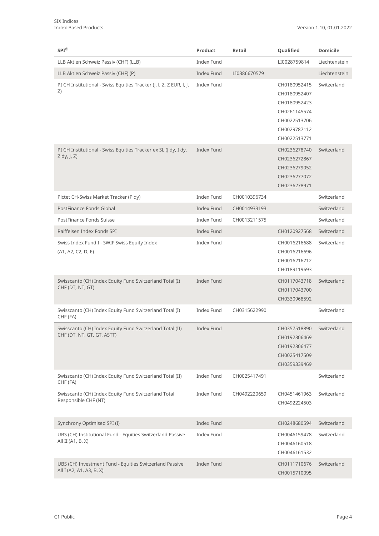| $SPI^{\circledR}$                                                                      | Product           | Retail       | Qualified                                                                                                    | <b>Domicile</b> |
|----------------------------------------------------------------------------------------|-------------------|--------------|--------------------------------------------------------------------------------------------------------------|-----------------|
| LLB Aktien Schweiz Passiv (CHF) (LLB)                                                  | <b>Index Fund</b> |              | LI0028759814                                                                                                 | Liechtenstein   |
| LLB Aktien Schweiz Passiv (CHF) (P)                                                    | <b>Index Fund</b> | LI0386670579 |                                                                                                              | Liechtenstein   |
| PI CH Institutional - Swiss Equities Tracker (J, I, Z, Z EUR, I, J,<br>Z)              | <b>Index Fund</b> |              | CH0180952415<br>CH0180952407<br>CH0180952423<br>CH0261145574<br>CH0022513706<br>CH0029787112<br>CH0022513771 | Switzerland     |
| PI CH Institutional - Swiss Equities Tracker ex SL (J dy, I dy,<br>$Z$ dy, J, $Z$ )    | <b>Index Fund</b> |              | CH0236278740<br>CH0236272867<br>CH0236279052<br>CH0236277072<br>CH0236278971                                 | Switzerland     |
| Pictet CH-Swiss Market Tracker (P dy)                                                  | Index Fund        | CH0010396734 |                                                                                                              | Switzerland     |
| PostFinance Fonds Global                                                               | <b>Index Fund</b> | CH0014933193 |                                                                                                              | Switzerland     |
| PostFinance Fonds Suisse                                                               | Index Fund        | CH0013211575 |                                                                                                              | Switzerland     |
| Raiffeisen Index Fonds SPI                                                             | <b>Index Fund</b> |              | CH0120927568                                                                                                 | Switzerland     |
| Swiss Index Fund I - SWIF Swiss Equity Index<br>(A1, A2, C2, D, E)                     | Index Fund        |              | CH0016216688<br>CH0016216696<br>CH0016216712<br>CH0189119693                                                 | Switzerland     |
| Swisscanto (CH) Index Equity Fund Switzerland Total (I)<br>CHF (DT, NT, GT)            | <b>Index Fund</b> |              | CH0117043718<br>CH0117043700<br>CH0330968592                                                                 | Switzerland     |
| Swisscanto (CH) Index Equity Fund Switzerland Total (I)<br>CHF (FA)                    | Index Fund        | CH0315622990 |                                                                                                              | Switzerland     |
| Swisscanto (CH) Index Equity Fund Switzerland Total (II)<br>CHF (DT, NT, GT, GT, ASTT) | Index Fund        |              | CH0357518890<br>CH0192306469<br>CH0192306477<br>CH0025417509<br>CH0359339469                                 | Switzerland     |
| Swisscanto (CH) Index Equity Fund Switzerland Total (II)<br>CHF (FA)                   | Index Fund        | CH0025417491 |                                                                                                              | Switzerland     |
| Swisscanto (CH) Index Equity Fund Switzerland Total<br>Responsible CHF (NT)            | <b>Index Fund</b> | CH0492220659 | CH0451461963<br>CH0492224503                                                                                 | Switzerland     |
| Synchrony Optimised SPI (I)                                                            | <b>Index Fund</b> |              | CH0248680594                                                                                                 | Switzerland     |
| UBS (CH) Institutional Fund - Equities Switzerland Passive<br>All II (A1, B, X)        | Index Fund        |              | CH0046159478<br>CH0046160518<br>CH0046161532                                                                 | Switzerland     |
| UBS (CH) Investment Fund - Equities Switzerland Passive<br>All I (A2, A1, A3, B, X)    | <b>Index Fund</b> |              | CH0111710676<br>CH0015710095                                                                                 | Switzerland     |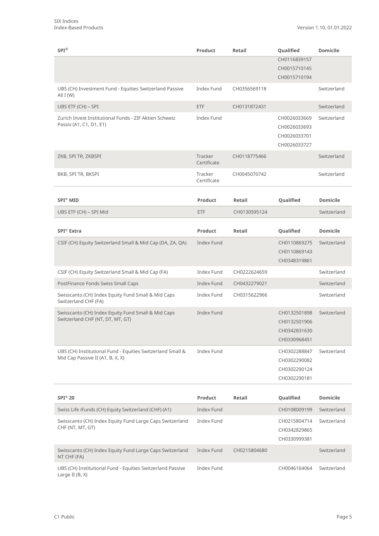| $SPI^{\circledR}$                                                                              | Product                | Retail       | Qualified        | <b>Domicile</b> |
|------------------------------------------------------------------------------------------------|------------------------|--------------|------------------|-----------------|
|                                                                                                |                        |              | CH0116839157     |                 |
|                                                                                                |                        |              | CH0015710145     |                 |
|                                                                                                |                        |              | CH0015710194     |                 |
| UBS (CH) Investment Fund - Equities Switzerland Passive<br>All $I(W)$                          | <b>Index Fund</b>      | CH0356569118 |                  | Switzerland     |
| UBS ETF (CH) - SPI                                                                             | <b>ETF</b>             | CH0131872431 |                  | Switzerland     |
| Zurich Invest Institutional Funds - ZIF Aktien Schweiz                                         | Index Fund             |              | CH0026033669     | Switzerland     |
| Passiv (A1, C1, D1, E1)                                                                        |                        |              | CH0026033693     |                 |
|                                                                                                |                        |              | CH0026033701     |                 |
|                                                                                                |                        |              | CH0026033727     |                 |
| ZKB, SPI TR, ZKBSPI                                                                            | Tracker<br>Certificate | CH0118775466 |                  | Switzerland     |
| BKB, SPI TR, BKSPI                                                                             | Tracker<br>Certificate | CH0045070742 |                  | Switzerland     |
|                                                                                                |                        |              |                  |                 |
| <b>SPI® MID</b>                                                                                | Product                | Retail       | Qualified        | <b>Domicile</b> |
| UBS ETF (CH) - SPI Mid                                                                         | <b>ETF</b>             | CH0130595124 |                  | Switzerland     |
|                                                                                                |                        |              |                  |                 |
| SPI <sup>®</sup> Extra                                                                         | Product                | Retail       | Qualified        | <b>Domicile</b> |
| CSIF (CH) Equity Switzerland Small & Mid Cap (DA, ZA, QA)                                      | Index Fund             |              | CH0110869275     | Switzerland     |
|                                                                                                |                        |              | CH0110869143     |                 |
|                                                                                                |                        |              | CH0348319861     |                 |
| CSIF (CH) Equity Switzerland Small & Mid Cap (FA)                                              | Index Fund             | CH0222624659 |                  | Switzerland     |
| PostFinance Fonds Swiss Small Caps                                                             | <b>Index Fund</b>      | CH0432279021 |                  | Switzerland     |
| Swisscanto (CH) Index Equity Fund Small & Mid Caps<br>Switzerland CHF (FA)                     | Index Fund             | CH0315622966 |                  | Switzerland     |
| Swisscanto (CH) Index Equity Fund Small & Mid Caps                                             | <b>Index Fund</b>      |              | CH0132501898     | Switzerland     |
| Switzerland CHF (NT, DT, MT, GT)                                                               |                        |              | CH0132501906     |                 |
|                                                                                                |                        |              | CH0342831630     |                 |
|                                                                                                |                        |              | CH0330968451     |                 |
| UBS (CH) Institutional Fund - Equities Switzerland Small &<br>Mid Cap Passive II (A1, B, X, X) | Index Fund             |              | CH0302288847     | Switzerland     |
|                                                                                                |                        |              | CH0302290082     |                 |
|                                                                                                |                        |              | CH0302290124     |                 |
|                                                                                                |                        |              | CH0302290181     |                 |
| <b>SPI® 20</b>                                                                                 | Product                | Retail       | <b>Qualified</b> | <b>Domicile</b> |
| Swiss Life iFunds (CH) Equity Switzerland (CHF) (A1)                                           | <b>Index Fund</b>      |              | CH0108009199     | Switzerland     |
| Swisscanto (CH) Index Equity Fund Large Caps Switzerland                                       | <b>Index Fund</b>      |              | CH0215804714     | Switzerland     |
| CHF (NT, MT, GT)                                                                               |                        |              | CH0342829865     |                 |
|                                                                                                |                        |              | CH0330999381     |                 |
| Swisscanto (CH) Index Equity Fund Large Caps Switzerland<br>NT CHF (FA)                        | <b>Index Fund</b>      | CH0215804680 |                  | Switzerland     |
| UBS (CH) Institutional Fund - Equities Switzerland Passive<br>Large II $(B, X)$                | Index Fund             |              | CH0046164064     | Switzerland     |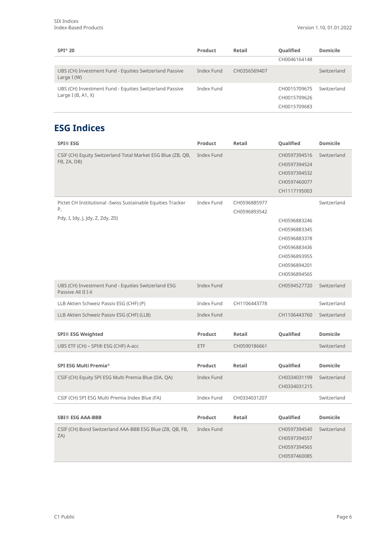| $SPI^{\circledR}$ 20                                                            | Product    | Retail       | Qualified                                    | <b>Domicile</b> |
|---------------------------------------------------------------------------------|------------|--------------|----------------------------------------------|-----------------|
|                                                                                 |            |              | CH0046164148                                 |                 |
| UBS (CH) Investment Fund - Equities Switzerland Passive<br>Large $I(W)$         | Index Fund | CH0356569407 |                                              | Switzerland     |
| UBS (CH) Investment Fund - Equities Switzerland Passive<br>Large I $(B, A1, X)$ | Index Fund |              | CH0015709675<br>CH0015709626<br>CH0015709683 | Switzerland     |

#### **ESG Indices**

| <b>SPI® ESG</b>                                                           | Product           | Retail       | Qualified    | <b>Domicile</b> |
|---------------------------------------------------------------------------|-------------------|--------------|--------------|-----------------|
| CSIF (CH) Equity Switzerland Total Market ESG Blue (ZB, QB,               | Index Fund        |              | CH0597394516 | Switzerland     |
| FB, ZA, DB)                                                               |                   |              | CH0597394524 |                 |
|                                                                           |                   |              | CH0597394532 |                 |
|                                                                           |                   |              | CH0597460077 |                 |
|                                                                           |                   |              | CH1117195003 |                 |
| Pictet CH Institutional -Swiss Sustainable Equities Tracker               | Index Fund        | CH0596885977 |              | Switzerland     |
| Ρ,                                                                        |                   | CH0596893542 |              |                 |
| Pdy, I, Idy, J, Jdy, Z, Zdy, Z0)                                          |                   |              | CH0596883246 |                 |
|                                                                           |                   |              | CH0596883345 |                 |
|                                                                           |                   |              | CH0596883378 |                 |
|                                                                           |                   |              | CH0596883436 |                 |
|                                                                           |                   |              | CH0596893955 |                 |
|                                                                           |                   |              | CH0596894201 |                 |
|                                                                           |                   |              | CH0596894565 |                 |
| UBS (CH) Investment Fund - Equities Switzerland ESG<br>Passive All II I-X | Index Fund        |              | CH0594527720 | Switzerland     |
| LLB Aktien Schweiz Passiv ESG (CHF) (P)                                   | Index Fund        | CH1106443778 |              | Switzerland     |
| LLB Aktien Schweiz Passiv ESG (CHF) (LLB)                                 | Index Fund        |              | CH1106443760 | Switzerland     |
|                                                                           |                   |              |              |                 |
| <b>SPI® ESG Weighted</b>                                                  | Product           | Retail       | Qualified    | <b>Domicile</b> |
| UBS ETF (CH) - SPI® ESG (CHF) A-acc                                       | ETF               | CH0590186661 |              | Switzerland     |
|                                                                           |                   |              |              |                 |
| SPI ESG Multi Premia <sup>®</sup>                                         | <b>Product</b>    | Retail       | Qualified    | <b>Domicile</b> |
| CSIF (CH) Equity SPI ESG Multi Premia Blue (DA, QA)                       | <b>Index Fund</b> |              | CH0334031199 | Switzerland     |
|                                                                           |                   |              | CH0334031215 |                 |
| CSIF (CH) SPI ESG Multi Premia Index Blue (FA)                            | Index Fund        | CH0334031207 |              | Switzerland     |
|                                                                           |                   |              |              |                 |
| <b>SBI® ESG AAA-BBB</b>                                                   | Product           | Retail       | Qualified    | <b>Domicile</b> |
| CSIF (CH) Bond Switzerland AAA-BBB ESG Blue (ZB, QB, FB,                  | Index Fund        |              | CH0597394540 | Switzerland     |
| ZA)                                                                       |                   |              | CH0597394557 |                 |
|                                                                           |                   |              | CH0597394565 |                 |
|                                                                           |                   |              | CH0597460085 |                 |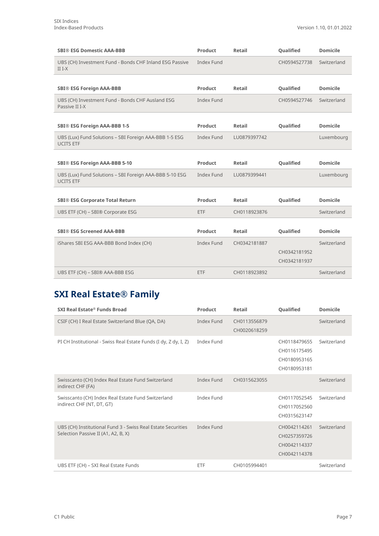| <b>SBI® ESG Domestic AAA-BBB</b>                                            | Product           | Retail       | <b>Qualified</b> | <b>Domicile</b> |
|-----------------------------------------------------------------------------|-------------------|--------------|------------------|-----------------|
| UBS (CH) Investment Fund - Bonds CHF Inland ESG Passive<br>$II I-X$         | <b>Index Fund</b> |              | CH0594527738     | Switzerland     |
|                                                                             |                   |              |                  |                 |
| <b>SBI® ESG Foreign AAA-BBB</b>                                             | Product           | Retail       | Qualified        | <b>Domicile</b> |
| UBS (CH) Investment Fund - Bonds CHF Ausland ESG<br>Passive II I-X          | <b>Index Fund</b> |              | CH0594527746     | Switzerland     |
|                                                                             |                   |              |                  |                 |
| SBI® ESG Foreign AAA-BBB 1-5                                                | <b>Product</b>    | Retail       | Qualified        | <b>Domicile</b> |
| UBS (Lux) Fund Solutions - SBI Foreign AAA-BBB 1-5 ESG<br><b>UCITS ETF</b>  | Index Fund        | LU0879397742 |                  | Luxembourg      |
|                                                                             |                   |              |                  |                 |
| SBI® ESG Foreign AAA-BBB 5-10                                               | <b>Product</b>    | Retail       | Qualified        | <b>Domicile</b> |
| UBS (Lux) Fund Solutions - SBI Foreign AAA-BBB 5-10 ESG<br><b>UCITS ETF</b> | <b>Index Fund</b> | LU0879399441 |                  | Luxembourg      |
|                                                                             |                   |              |                  |                 |
| <b>SBI® ESG Corporate Total Return</b>                                      | <b>Product</b>    | Retail       | Qualified        | <b>Domicile</b> |
| UBS ETF (CH) - SBI® Corporate ESG                                           | ETF               | CH0118923876 |                  | Switzerland     |
|                                                                             |                   |              |                  |                 |
| <b>SBI® ESG Screened AAA-BBB</b>                                            | Product           | Retail       | <b>Qualified</b> | <b>Domicile</b> |
|                                                                             |                   |              |                  |                 |
| iShares SBI ESG AAA-BBB Bond Index (CH)                                     | Index Fund        | CH0342181887 |                  | Switzerland     |
|                                                                             |                   |              | CH0342181952     |                 |
|                                                                             |                   |              | CH0342181937     |                 |

### **SXI Real Estate® Family**

| SXI Real Estate® Funds Broad                                                                        | Product    | Retail                       | Qualified                                                    | <b>Domicile</b> |
|-----------------------------------------------------------------------------------------------------|------------|------------------------------|--------------------------------------------------------------|-----------------|
| CSIF (CH) I Real Estate Switzerland Blue (QA, DA)                                                   | Index Fund | CH0113556879<br>CH0020618259 |                                                              | Switzerland     |
| PI CH Institutional - Swiss Real Estate Funds (I dy, Z dy, I, Z)                                    | Index Fund |                              | CH0118479655<br>CH0116175495<br>CH0180953165<br>CH0180953181 | Switzerland     |
| Swisscanto (CH) Index Real Estate Fund Switzerland<br>indirect CHF (FA)                             | Index Fund | CH0315623055                 |                                                              | Switzerland     |
| Swisscanto (CH) Index Real Estate Fund Switzerland<br>indirect CHF (NT, DT, GT)                     | Index Fund |                              | CH0117052545<br>CH0117052560<br>CH0315623147                 | Switzerland     |
| UBS (CH) Institutional Fund 3 - Swiss Real Estate Securities<br>Selection Passive II (A1, A2, B, X) | Index Fund |                              | CH0042114261<br>CH0257359726<br>CH0042114337<br>CH0042114378 | Switzerland     |
| UBS ETF (CH) - SXI Real Estate Funds                                                                | ETF        | CH0105994401                 |                                                              | Switzerland     |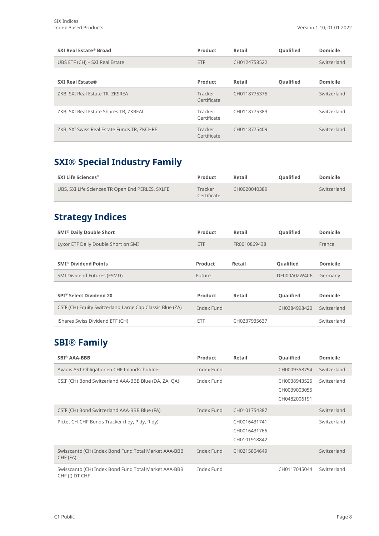| SXI Real Estate® Broad                      | Product                | Retail       | <b>Oualified</b> | <b>Domicile</b> |
|---------------------------------------------|------------------------|--------------|------------------|-----------------|
| UBS ETF (CH) - SXI Real Estate              | ETF                    | CH0124758522 |                  | Switzerland     |
|                                             |                        |              |                  |                 |
| <b>SXI Real Estate®</b>                     | Product                | Retail       | Qualified        | <b>Domicile</b> |
| ZKB, SXI Real Estate TR, ZKSREA             | Tracker<br>Certificate | CH0118775375 |                  | Switzerland     |
| ZKB, SXI Real Estate Shares TR, ZKREAL      | Tracker<br>Certificate | CH0118775383 |                  | Switzerland     |
| ZKB, SXI Swiss Real Estate Funds TR, ZKCHRE | Tracker<br>Certificate | CH0118775409 |                  | Switzerland     |

#### **SXI® Special Industry Family**

| SXI Life Sciences $^{\circledR}$                 | Product                | Retail       | <b>Oualified</b> | <b>Domicile</b> |
|--------------------------------------------------|------------------------|--------------|------------------|-----------------|
| UBS, SXI Life Sciences TR Open End PERLES, SXLFE | Tracker<br>Certificate | CH0020040389 |                  | Switzerland     |

#### **Strategy Indices**

| <b>SMI<sup>®</sup> Daily Double Short</b>                | Product    | Retail       | <b>Oualified</b> | Domicile        |
|----------------------------------------------------------|------------|--------------|------------------|-----------------|
| Lyxor ETF Daily Double Short on SMI                      | <b>ETF</b> | FR0010869438 |                  | France          |
|                                                          |            |              |                  |                 |
| <b>SMI<sup>®</sup> Dividend Points</b>                   | Product    | Retail       | Qualified        | <b>Domicile</b> |
| SMI Dividend Futures (FSMD)                              | Future     |              | DE000A0ZW4C6     | Germany         |
|                                                          |            |              |                  |                 |
| SPI <sup>®</sup> Select Dividend 20                      | Product    | Retail       | Qualified        | Domicile        |
| CSIF (CH) Equity Switzerland Large Cap Classic Blue (ZA) | Index Fund |              | CH0384998420     | Switzerland     |
| iShares Swiss Dividend ETF (CH)                          | ETF        | CH0237935637 |                  | Switzerland     |

#### **SBI® Family**

| <b>SBI<sup>®</sup> AAA-BBB</b>                                         | <b>Product</b> | Retail                                       | Qualified                                    | <b>Domicile</b> |
|------------------------------------------------------------------------|----------------|----------------------------------------------|----------------------------------------------|-----------------|
| Avadis AST Obligationen CHF Inlandschuldner                            | Index Fund     |                                              | CH0009358794                                 | Switzerland     |
| CSIF (CH) Bond Switzerland AAA-BBB Blue (DA, ZA, QA)                   | Index Fund     |                                              | CH0038943525<br>CH0039003055<br>CH0482006191 | Switzerland     |
| CSIF (CH) Bond Switzerland AAA-BBB Blue (FA)                           | Index Fund     | CH0101754387                                 |                                              | Switzerland     |
| Pictet CH-CHF Bonds Tracker (I dy, P dy, R dy)                         |                | CH0016431741<br>CH0016431766<br>CH0101918842 |                                              | Switzerland     |
| Swisscanto (CH) Index Bond Fund Total Market AAA-BBB<br>CHF (FA)       | Index Fund     | CH0215804649                                 |                                              | Switzerland     |
| Swisscanto (CH) Index Bond Fund Total Market AAA-BBB<br>CHF (I) DT CHF | Index Fund     |                                              | CH0117045044                                 | Switzerland     |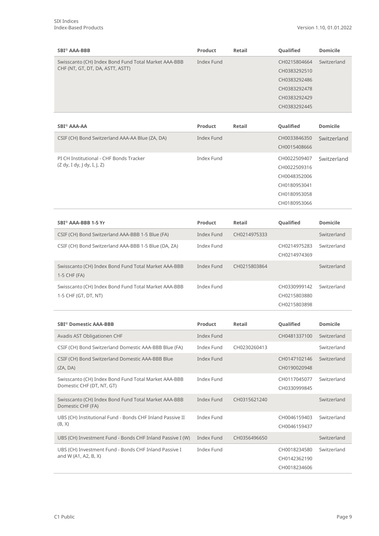| <b>SBI® AAA-BBB</b>                                                                      | Product    | Retail       | Qualified    | <b>Domicile</b> |
|------------------------------------------------------------------------------------------|------------|--------------|--------------|-----------------|
| Swisscanto (CH) Index Bond Fund Total Market AAA-BBB<br>CHF (NT, GT, DT, DA, ASTT, ASTT) | Index Fund | CH0215804664 | Switzerland  |                 |
|                                                                                          |            |              | CH0383292510 |                 |
|                                                                                          |            |              | CH0383292486 |                 |
|                                                                                          |            |              | CH0383292478 |                 |
|                                                                                          |            |              | CH0383292429 |                 |
|                                                                                          |            |              | CH0383292445 |                 |
|                                                                                          |            |              |              |                 |

| SBI <sup>®</sup> AAA-AA                         | Product    | Retail | <b>Oualified</b> | <b>Domicile</b> |
|-------------------------------------------------|------------|--------|------------------|-----------------|
| CSIF (CH) Bond Switzerland AAA-AA Blue (ZA, DA) | Index Fund |        | CH0033846350     | Switzerland     |
|                                                 |            |        | CH0015408666     |                 |
| PI CH Institutional - CHF Bonds Tracker         | Index Fund |        | CH0022509407     | Switzerland     |
| (Z dy, I dy, J dy, I, J, Z)                     |            |        | CH0022509316     |                 |
|                                                 |            |        | CH0048352006     |                 |
|                                                 |            |        | CH0180953041     |                 |
|                                                 |            |        | CH0180953058     |                 |
|                                                 |            |        | CH0180953066     |                 |

| SBI <sup>®</sup> AAA-BBB 1-5 Yr                                              | Product    | Retail       | <b>Oualified</b>                             | <b>Domicile</b> |
|------------------------------------------------------------------------------|------------|--------------|----------------------------------------------|-----------------|
| CSIF (CH) Bond Switzerland AAA-BBB 1-5 Blue (FA)                             | Index Fund | CH0214975333 |                                              | Switzerland     |
| CSIF (CH) Bond Switzerland AAA-BBB 1-5 Blue (DA, ZA)                         | Index Fund |              | CH0214975283<br>CH0214974369                 | Switzerland     |
| Swisscanto (CH) Index Bond Fund Total Market AAA-BBB<br>1-5 CHF (FA)         | Index Fund | CH0215803864 |                                              | Switzerland     |
| Swisscanto (CH) Index Bond Fund Total Market AAA-BBB<br>1-5 CHF (GT, DT, NT) | Index Fund |              | CH0330999142<br>CH0215803880<br>CH0215803898 | Switzerland     |

| <b>SBI<sup>®</sup> Domestic AAA-BBB</b>                                           | Product    | Retail       | Qualified                                    | Domicile    |
|-----------------------------------------------------------------------------------|------------|--------------|----------------------------------------------|-------------|
| Avadis AST Obligationen CHF                                                       | Index Fund |              | CH0481337100                                 | Switzerland |
| CSIF (CH) Bond Switzerland Domestic AAA-BBB Blue (FA)                             | Index Fund | CH0230260413 |                                              | Switzerland |
| CSIF (CH) Bond Switzerland Domestic AAA-BBB Blue<br>(ZA, DA)                      | Index Fund |              | CH0147102146<br>CH0190020948                 | Switzerland |
| Swisscanto (CH) Index Bond Fund Total Market AAA-BBB<br>Domestic CHF (DT, NT, GT) | Index Fund |              | CH0117045077<br>CH0330999845                 | Switzerland |
| Swisscanto (CH) Index Bond Fund Total Market AAA-BBB<br>Domestic CHF (FA)         | Index Fund | CH0315621240 |                                              | Switzerland |
| UBS (CH) Institutional Fund - Bonds CHF Inland Passive II<br>(B, X)               | Index Fund |              | CH0046159403<br>CH0046159437                 | Switzerland |
| UBS (CH) Investment Fund - Bonds CHF Inland Passive I (W)                         | Index Fund | CH0356496650 |                                              | Switzerland |
| UBS (CH) Investment Fund - Bonds CHF Inland Passive I<br>and W (A1, A2, B, X)     | Index Fund |              | CH0018234580<br>CH0142362190<br>CH0018234606 | Switzerland |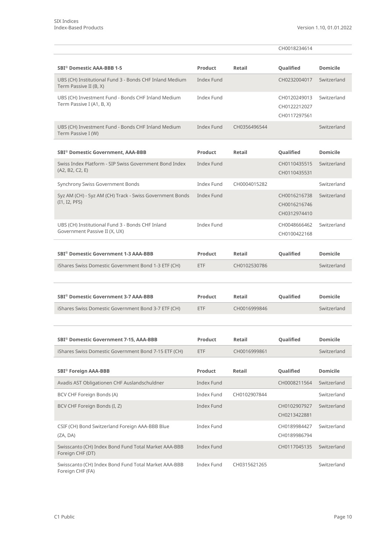|                                                                                   |                   |              | CH0018234614                                 |                 |
|-----------------------------------------------------------------------------------|-------------------|--------------|----------------------------------------------|-----------------|
| SBI <sup>®</sup> Domestic AAA-BBB 1-5                                             | Product           | Retail       | Qualified                                    | <b>Domicile</b> |
| UBS (CH) Institutional Fund 3 - Bonds CHF Inland Medium<br>Term Passive II (B, X) | Index Fund        |              | CH0232004017                                 | Switzerland     |
| UBS (CH) Investment Fund - Bonds CHF Inland Medium<br>Term Passive I (A1, B, X)   | Index Fund        |              | CH0120249013<br>CH0122212027<br>CH0117297561 | Switzerland     |
| UBS (CH) Investment Fund - Bonds CHF Inland Medium<br>Term Passive I (W)          | Index Fund        | CH0356496544 |                                              | Switzerland     |
| <b>SBI® Domestic Government, AAA-BBB</b>                                          | Product           | Retail       | Qualified                                    | <b>Domicile</b> |
| Swiss Index Platform - SIP Swiss Government Bond Index<br>(A2, B2, C2, E)         | Index Fund        |              | CH0110435515<br>CH0110435531                 | Switzerland     |
| Synchrony Swiss Government Bonds                                                  | Index Fund        | CH0004015282 |                                              | Switzerland     |
| Syz AM (CH) - Syz AM (CH) Track - Swiss Government Bonds<br>(11, 12, PFS)         | Index Fund        |              | CH0016216738<br>CH0016216746<br>CH0312974410 | Switzerland     |
| UBS (CH) Institutional Fund 3 - Bonds CHF Inland<br>Government Passive II (X, UX) | Index Fund        |              | CH0048666462<br>CH0100422168                 | Switzerland     |
| SBI <sup>®</sup> Domestic Government 1-3 AAA-BBB                                  | Product           | Retail       | Qualified                                    | <b>Domicile</b> |
| iShares Swiss Domestic Government Bond 1-3 ETF (CH)                               | <b>ETF</b>        | CH0102530786 |                                              | Switzerland     |
|                                                                                   |                   |              |                                              |                 |
| SBI <sup>®</sup> Domestic Government 3-7 AAA-BBB                                  | Product           | Retail       | Qualified                                    | <b>Domicile</b> |
| iShares Swiss Domestic Government Bond 3-7 ETF (CH)                               | <b>ETF</b>        | CH0016999846 |                                              | Switzerland     |
|                                                                                   |                   |              |                                              |                 |
| SBI® Domestic Government 7-15, AAA-BBB                                            | Product           | Retail       | Qualified                                    | <b>Domicile</b> |
| iShares Swiss Domestic Government Bond 7-15 ETF (CH)                              | <b>ETF</b>        | CH0016999861 |                                              | Switzerland     |
| <b>SBI<sup>®</sup></b> Foreign AAA-BBB                                            | Product           | Retail       | Qualified                                    | <b>Domicile</b> |
| Avadis AST Obligationen CHF Auslandschuldner                                      | Index Fund        |              | CH0008211564                                 | Switzerland     |
| BCV CHF Foreign Bonds (A)                                                         | Index Fund        | CH0102907844 |                                              | Switzerland     |
| BCV CHF Foreign Bonds (I, Z)                                                      | <b>Index Fund</b> |              | CH0102907927<br>CH0213422881                 | Switzerland     |
| CSIF (CH) Bond Switzerland Foreign AAA-BBB Blue<br>(ZA, DA)                       | Index Fund        |              | CH0189984427<br>CH0189986794                 | Switzerland     |
| Swisscanto (CH) Index Bond Fund Total Market AAA-BBB<br>Foreign CHF (DT)          | Index Fund        |              | CH0117045135                                 | Switzerland     |
| Swisscanto (CH) Index Bond Fund Total Market AAA-BBB<br>Foreign CHF (FA)          | Index Fund        | CH0315621265 |                                              | Switzerland     |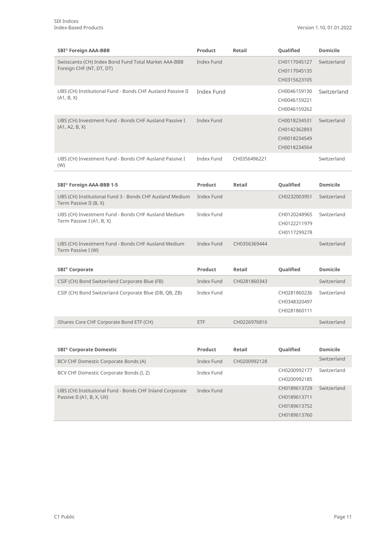| <b>SBI<sup>®</sup></b> Foreign AAA-BBB                                           | <b>Product</b> | Retail       | Qualified                                                    | <b>Domicile</b> |
|----------------------------------------------------------------------------------|----------------|--------------|--------------------------------------------------------------|-----------------|
| Swisscanto (CH) Index Bond Fund Total Market AAA-BBB<br>Foreign CHF (NT, DT, DT) | Index Fund     |              | CH0117045127<br>CH0117045135<br>CH0315623105                 | Switzerland     |
| UBS (CH) Institutional Fund - Bonds CHF Ausland Passive II<br>(A1, B, X)         | Index Fund     |              | CH0046159130<br>CH0046159221<br>CH0046159262                 | Switzerland     |
| UBS (CH) Investment Fund - Bonds CHF Ausland Passive I<br>(A1, A2, B, X)         | Index Fund     |              | CH0018234531<br>CH0142362893<br>CH0018234549<br>CH0018234564 | Switzerland     |
| UBS (CH) Investment Fund - Bonds CHF Ausland Passive I<br>(W)                    | Index Fund     | CH0356496221 |                                                              | Switzerland     |

| SBI <sup>®</sup> Foreign AAA-BBB 1-5                                               | Product    | Retail       | <b>Oualified</b>                             | Domicile    |
|------------------------------------------------------------------------------------|------------|--------------|----------------------------------------------|-------------|
| UBS (CH) Institutional Fund 3 - Bonds CHF Ausland Medium<br>Term Passive II (B, X) | Index Fund |              | CH0232003951                                 | Switzerland |
| UBS (CH) Investment Fund - Bonds CHF Ausland Medium<br>Term Passive I (A1, B, X)   | Index Fund |              | CH0120248965<br>CH0122211979<br>CH0117299278 | Switzerland |
| UBS (CH) Investment Fund - Bonds CHF Ausland Medium<br>Term Passive I (W)          | Index Fund | CH0356369444 |                                              | Switzerland |

| <b>SBI<sup>®</sup></b> Corporate                       | Product    | Retail       | <b>Oualified</b>                             | Domicile    |
|--------------------------------------------------------|------------|--------------|----------------------------------------------|-------------|
| CSIF (CH) Bond Switzerland Corporate Blue (FB)         | Index Fund | CH0281860343 |                                              | Switzerland |
| CSIF (CH) Bond Switzerland Corporate Blue (DB, QB, ZB) | Index Fund |              | CH0281860236<br>CH0348320497<br>CH0281860111 | Switzerland |
| iShares Core CHF Corporate Bond ETF (CH)               | ETF        | CH0226976816 |                                              | Switzerland |

| <b>SBI<sup>®</sup> Corporate Domestic</b>                | Product    | Retail       | Qualified    | <b>Domicile</b> |
|----------------------------------------------------------|------------|--------------|--------------|-----------------|
| BCV CHF Domestic Corporate Bonds (A)                     | Index Fund | CH0200992128 |              | Switzerland     |
| BCV CHF Domestic Corporate Bonds (I, Z)                  | Index Fund |              | CH0200992177 | Switzerland     |
|                                                          |            |              | CH0200992185 |                 |
| UBS (CH) Institutional Fund - Bonds CHF Inland Corporate | Index Fund |              | CH0189613729 | Switzerland     |
| Passive II (A1, B, X, UX)                                |            |              | CH0189613711 |                 |
|                                                          |            |              | CH0189613752 |                 |
|                                                          |            |              | CH0189613760 |                 |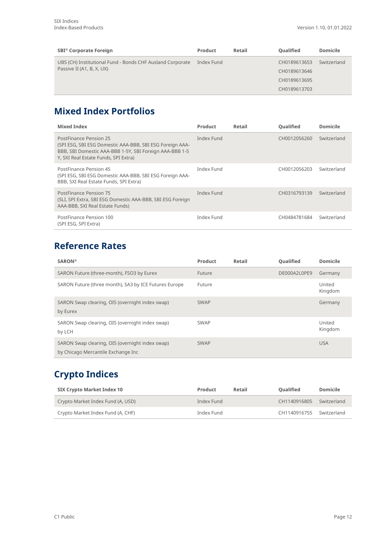| <b>SBI<sup>®</sup></b> Corporate Foreign                                               | <b>Product</b> | Retail       | Qualified    | <b>Domicile</b> |
|----------------------------------------------------------------------------------------|----------------|--------------|--------------|-----------------|
| UBS (CH) Institutional Fund - Bonds CHF Ausland Corporate<br>Passive II (A1, B, X, UX) | Index Fund     | CH0189613653 |              | Switzerland     |
|                                                                                        |                |              | CH0189613646 |                 |
|                                                                                        |                |              | CH0189613695 |                 |
|                                                                                        |                |              | CH0189613703 |                 |

### **Mixed Index Portfolios**

| <b>Mixed Index</b>                                                                                                                                                                    | Product    | Retail | <b>Oualified</b> | Domicile    |
|---------------------------------------------------------------------------------------------------------------------------------------------------------------------------------------|------------|--------|------------------|-------------|
| PostFinance Pension 25<br>(SPI ESG, SBI ESG Domestic AAA-BBB, SBI ESG Foreign AAA-<br>BBB, SBI Domestic AAA-BBB 1-5Y, SBI Foreign AAA-BBB 1-5<br>Y, SXI Real Estate Funds, SPI Extra) | Index Fund |        | CH0012056260     | Switzerland |
| PostFinance Pension 45<br>(SPI ESG, SBI ESG Domestic AAA-BBB, SBI ESG Foreign AAA-<br>BBB, SXI Real Estate Funds, SPI Extra)                                                          | Index Fund |        | CH0012056203     | Switzerland |
| PostFinance Pension 75<br>(SLI, SPI Extra, SBI ESG Domestic AAA-BBB, SBI ESG Foreign<br>AAA-BBB, SXI Real Estate Funds)                                                               | Index Fund |        | CH0316793139     | Switzerland |
| PostFinance Pension 100<br>(SPI ESG, SPI Extra)                                                                                                                                       | Index Fund |        | CH0484781684     | Switzerland |

#### **Reference Rates**

| SARON <sup>®</sup>                                                                    | Product     | Retail | <b>Oualified</b> | Domicile          |
|---------------------------------------------------------------------------------------|-------------|--------|------------------|-------------------|
| SARON Future (three-month), FSO3 by Eurex                                             | Future      |        | DE000A2L0PE9     | Germany           |
| SARON Future (three month), SA3 by ICE Futures Europe                                 | Future      |        |                  | United<br>Kingdom |
| SARON Swap clearing, OIS (overnight index swap)<br>by Eurex                           | <b>SWAP</b> |        |                  | Germany           |
| SARON Swap clearing, OIS (overnight index swap)<br>by LCH                             | <b>SWAP</b> |        |                  | United<br>Kingdom |
| SARON Swap clearing, OIS (overnight index swap)<br>by Chicago Mercantile Exchange Inc | <b>SWAP</b> |        |                  | <b>USA</b>        |

#### **Crypto Indices**

| SIX Crypto Market Index 10        | Product    | Retail | <b>Oualified</b> | Domicile    |
|-----------------------------------|------------|--------|------------------|-------------|
| Crypto Market Index Fund (A, USD) | Index Fund |        | CH1140916805     | Switzerland |
| Crypto Market Index Fund (A, CHF) | Index Fund |        | CH1140916755     | Switzerland |